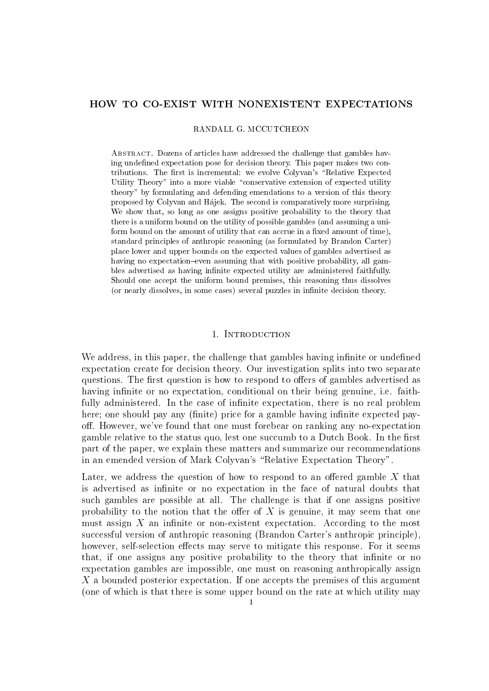## HOW TO CO-EXIST WITH NONEXISTENT EXPECTATIONS

RANDALL G. MCCUTCHEON

Abstract. Dozens of articles have addressed the challenge that gambles having undefined expectation pose for decision theory. This paper makes two contributions. The first is incremental: we evolve Colyvan's "Relative Expected Utility Theory" into a more viable "conservative extension of expected utility theory" by formulating and defending emendations to a version of this theory proposed by Colyvan and Hajek. The second is comparatively more surprising. We show that, so long as one assigns positive probability to the theory that there is a uniform bound on the utility of possible gambles (and assuming a uniform bound on the amount of utility that can accrue in a fixed amount of time), standard principles of anthropic reasoning (as formulated by Brandon Carter) place lower and upper bounds on the expected values of gambles advertised as having no expectation-even assuming that with positive probability, all gambles advertised as having infinite expected utility are administered faithfully. Should one accept the uniform bound premises, this reasoning thus dissolves (or nearly dissolves, in some cases) several puzzles in infinite decision theory.

### 1. INTRODUCTION

We address, in this paper, the challenge that gambles having infinite or undefined expectation create for decision theory. Our investigation splits into two separate questions. The first question is how to respond to offers of gambles advertised as having infinite or no expectation, conditional on their being genuine, i.e. faithfully administered. In the case of infinite expectation, there is no real problem here; one should pay any (finite) price for a gamble having infinite expected payoff. However, we've found that one must forebear on ranking any no-expectation gamble relative to the status quo, lest one succumb to a Dutch Book. In the first part of the paper, we explain these matters and summarize our recommendations in an emended version of Mark Colyvan's "Relative Expectation Theory".

Later, we address the question of how to respond to an offered gamble  $X$  that is advertised as infinite or no expectation in the face of natural doubts that such gambles are possible at all. The challenge is that if one assigns positive probability to the notion that the offer of  $X$  is genuine, it may seem that one must assign  $X$  an infinite or non-existent expectation. According to the most successful version of anthropic reasoning (Brandon Carter's anthropic principle), however, self-selection effects may serve to mitigate this response. For it seems that, if one assigns any positive probability to the theory that infinite or no expectation gambles are impossible, one must on reasoning anthropically assign X a bounded posterior expectation. If one accepts the premises of this argument (one of which is that there is some upper bound on the rate at which utility may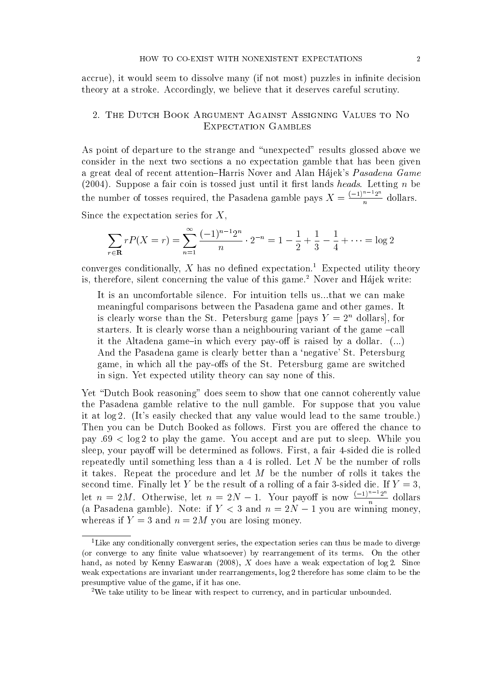accrue), it would seem to dissolve many (if not most) puzzles in infinite decision theory at a stroke. Accordingly, we believe that it deserves careful scrutiny.

# 2. The Dutch Book Argument Against Assigning Values to No EXPECTATION GAMBLES

As point of departure to the strange and "unexpected" results glossed above we consider in the next two sections a no expectation gamble that has been given a great deal of recent attention-Harris Nover and Alan Hajek's Pasadena Game  $(2004)$ . Suppose a fair coin is tossed just until it first lands heads. Letting n be the number of tosses required, the Pasadena gamble pays  $X = \frac{(-1)^{n-1}2^n}{n}$  $\begin{array}{l} \textit{Pascal} \ \textit{ads}.\ \text{Le} \ (-1)^{n-1}2 \end{array}$  $\frac{\pi}{n}$  dollars.

Since the expectation series for  $X$ ,

$$
\sum_{r \in \mathbf{R}} rP(X = r) = \sum_{n=1}^{\infty} \frac{(-1)^{n-1}2^n}{n} \cdot 2^{-n} = 1 - \frac{1}{2} + \frac{1}{3} - \frac{1}{4} + \dots = \log 2
$$

converges conditionally,  $X$  has no defined expectation.<sup>1</sup> Expected utility theory is, therefore, silent concerning the value of this game.<sup>2</sup> Nover and Hajek write:

It is an uncomfortable silence. For intuition tells us...that we can make meaningful comparisons between the Pasadena game and other games. It is clearly worse than the St. Petersburg game [pays  $Y = 2<sup>n</sup>$  dollars], for starters. It is clearly worse than a neighbouring variant of the game  $-call$ it the Altadena game-in which every pay-off is raised by a dollar.  $(\ldots)$ And the Pasadena game is clearly better than a `negative' St. Petersburg game, in which all the pay-offs of the St. Petersburg game are switched in sign. Yet expected utility theory can say none of this.

Yet "Dutch Book reasoning" does seem to show that one cannot coherently value the Pasadena gamble relative to the null gamble. For suppose that you value it at log 2. (It's easily checked that any value would lead to the same trouble.) Then you can be Dutch Booked as follows. First you are offered the chance to pay :69 < log 2 to play the game. You accept and are put to sleep. While you sleep, your payoff will be determined as follows. First, a fair 4-sided die is rolled repeatedly until something less than a 4 is rolled. Let N be the number of rolls it takes. Repeat the procedure and let  $M$  be the number of rolls it takes the second time. Finally let Y be the result of a rolling of a fair 3-sided die. If  $Y = 3$ , it takes. Repeat the procedure and let M be the number of rolls it t<br>second time. Finally let Y be the result of a rolling of a fair 3-sided die.<br>let  $n = 2M$ . Otherwise, let  $n = 2N - 1$ . Your payoff is now  $\frac{(-1)^{n-1}2}{n}$ n  $\frac{\binom{n}{1} \cdot 2^n}{n}$  dollars (a Pasadena gamble). Note: if  $Y < 3$  and  $n = 2N - 1$  you are winning money, whereas if  $Y = 3$  and  $n = 2M$  you are losing money.

<sup>&</sup>lt;sup>1</sup>Like any conditionally convergent series, the expectation series can thus be made to diverge (or converge to any finite value whatsoever) by rearrangement of its terms. On the other hand, as noted by Kenny Easwaran (2008), X does have a weak expectation of  $log 2$ . Since weak expectations are invariant under rearrangements, log 2 therefore has some claim to be the presumptive value of the game, if it has one.

<sup>2</sup>We take utility to be linear with respect to currency, and in particular unbounded.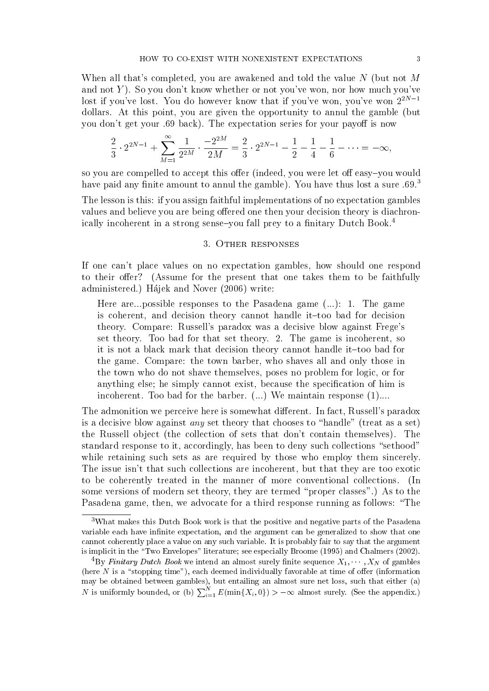When all that's completed, you are awakened and told the value  $N$  (but not M and not Y). So you don't know whether or not you've won, nor how much you've lost if you've lost. You do however know that if you've won, you've won  $2^{2N-1}$ dollars. At this point, you are given the opportunity to annul the gamble (but you don't get your .69 back). The expectation series for your payoff is now

$$
\frac{2}{3} \cdot 2^{2N-1} + \sum_{M=1}^{\infty} \frac{1}{2^{2M}} \cdot \frac{-2^{2M}}{2M} = \frac{2}{3} \cdot 2^{2N-1} - \frac{1}{2} - \frac{1}{4} - \frac{1}{6} - \dots = -\infty,
$$

so you are compelled to accept this offer (indeed, you were let off easy-you would have paid any finite amount to annul the gamble). You have thus lost a sure  $.69<sup>3</sup>$ 

The lesson is this: if you assign faithful implementations of no expectation gambles values and believe you are being offered one then your decision theory is diachronically incoherent in a strong sense-you fall prey to a finitary Dutch Book.<sup>4</sup>

### 3. Other responses

If one can't place values on no expectation gambles, how should one respond to their offer? (Assume for the present that one takes them to be faithfully administered.) Hajek and Nover (2006) write:

Here are...possible responses to the Pasadena game (...): 1. The game is coherent, and decision theory cannot handle it-too bad for decision theory. Compare: Russell's paradox was a decisive blow against Frege's set theory. Too bad for that set theory. 2. The game is incoherent, so it is not a black mark that decision theory cannot handle it-too bad for the game. Compare: the town barber, who shaves all and only those in the town who do not shave themselves, poses no problem for logic, or for anything else; he simply cannot exist, because the specification of him is incoherent. Too bad for the barber.  $(...)$  We maintain response  $(1)$ ....

The admonition we perceive here is somewhat different. In fact, Russell's paradox is a decisive blow against *any* set theory that chooses to "handle" (treat as a set) the Russell object (the collection of sets that don't contain themselves). The standard response to it, accordingly, has been to deny such collections "sethood" while retaining such sets as are required by those who employ them sincerely. The issue isn't that such collections are incoherent, but that they are too exotic to be coherently treated in the manner of more conventional collections. (In some versions of modern set theory, they are termed "proper classes".) As to the Pasadena game, then, we advocate for a third response running as follows: "The

<sup>3</sup>What makes this Dutch Book work is that the positive and negative parts of the Pasadena variable each have infinite expectation, and the argument can be generalized to show that one cannot coherently place a value on any such variable. It is probably fair to say that the argument is implicit in the "Two Envelopes" literature; see especially Broome (1995) and Chalmers (2002).

<sup>&</sup>lt;sup>4</sup>By Finitary Dutch Book we intend an almost surely finite sequence  $X_1, \cdots, X_N$  of gambles (here  $N$  is a "stopping time"), each deemed individually favorable at time of offer (information may be obtained between gambles), but entailing an almost sure net loss, such that either (a) N is uniformly bounded, or (b)  $\sum_{i=1}^{N} E(\min\{X_i, 0\}) > -\infty$  almost surely. (See the appendix.)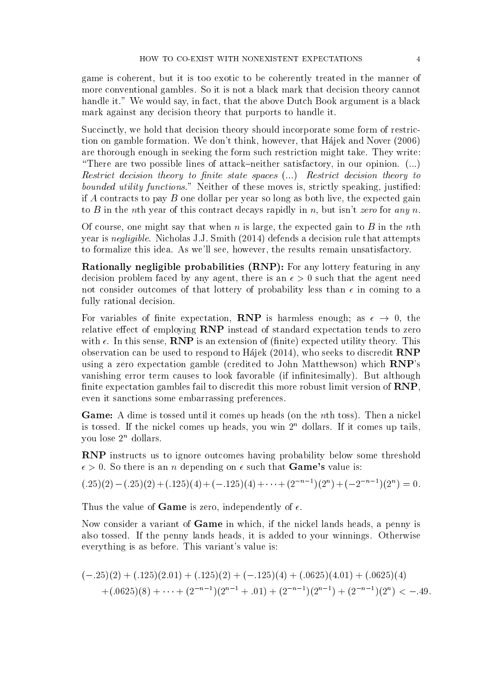game is coherent, but it is too exotic to be coherently treated in the manner of more conventional gambles. So it is not a black mark that decision theory cannot handle it." We would say, in fact, that the above Dutch Book argument is a black mark against any decision theory that purports to handle it.

Succinctly, we hold that decision theory should incorporate some form of restriction on gamble formation. We don't think, however, that Hajek and Nover (2006) are thorough enough in seeking the form such restriction might take. They write: "There are two possible lines of attack–neither satisfactory, in our opinion.  $(...)$ Restrict decision theory to finite state spaces  $(...)$  Restrict decision theory to bounded utility functions." Neither of these moves is, strictly speaking, justified: if A contracts to pay B one dollar per year so long as both live, the expected gain to B in the nth year of this contract decays rapidly in n, but isn't zero for any n.

Of course, one might say that when n is large, the expected gain to B in the nth year is negligible. Nicholas J.J. Smith (2014) defends a decision rule that attempts to formalize this idea. As we'll see, however, the results remain unsatisfactory.

Rationally negligible probabilities (RNP): For any lottery featuring in any decision problem faced by any agent, there is an  $\epsilon > 0$  such that the agent need not consider outcomes of that lottery of probability less than  $\epsilon$  in coming to a fully rational decision.

For variables of finite expectation, **RNP** is harmless enough; as  $\epsilon \to 0$ , the relative effect of employing RNP instead of standard expectation tends to zero with  $\epsilon$ . In this sense, **RNP** is an extension of (finite) expected utility theory. This observation can be used to respond to Hajek (2014), who seeks to discredit RNP using a zero expectation gamble (credited to John Matthewson) which RNP's vanishing error term causes to look favorable (if infinitesimally). But although finite expectation gambles fail to discredit this more robust limit version of  $RNP$ , even it sanctions some embarrassing preferences.

Game: A dime is tossed until it comes up heads (on the nth toss). Then a nickel is tossed. If the nickel comes up heads, you win  $2<sup>n</sup>$  dollars. If it comes up tails, you lose  $2^n$  dollars.

RNP instructs us to ignore outcomes having probability below some threshold  $\epsilon > 0$ . So there is an *n* depending on  $\epsilon$  such that **Game's** value is:

 $(.25)(2) - (.25)(2) + (.125)(4) + (-.125)(4) + \cdots + (2^{-n-1})(2^{n}) + (-2^{-n-1})(2^{n}) = 0.$ 

Thus the value of **Game** is zero, independently of  $\epsilon$ .

Now consider a variant of Game in which, if the nickel lands heads, a penny is also tossed. If the penny lands heads, it is added to your winnings. Otherwise everything is as before. This variant's value is:

$$
(-.25)(2) + (.125)(2.01) + (.125)(2) + (-.125)(4) + (.0625)(4.01) + (.0625)(4)
$$
  
+
$$
(.0625)(8) + \cdots + (2^{-n-1})(2^{n-1} + .01) + (2^{-n-1})(2^{n-1}) + (2^{-n-1})(2^n) < -.49.
$$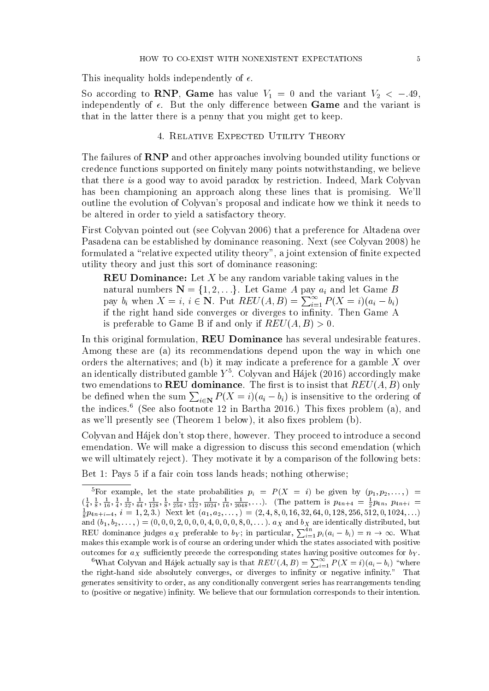This inequality holds independently of  $\epsilon$ .

So according to RNP, Game has value  $V_1 = 0$  and the variant  $V_2 < -0.49$ , independently of  $\epsilon$ . But the only difference between **Game** and the variant is that in the latter there is a penny that you might get to keep.

## 4. Relative Expected Utility Theory

The failures of RNP and other approaches involving bounded utility functions or credence functions supported on nitely many points notwithstanding, we believe that there is a good way to avoid paradox by restriction. Indeed, Mark Colyvan has been championing an approach along these lines that is promising. We'll outline the evolution of Colyvan's proposal and indicate how we think it needs to be altered in order to yield a satisfactory theory.

First Colyvan pointed out (see Colyvan 2006) that a preference for Altadena over Pasadena can be established by dominance reasoning. Next (see Colyvan 2008) he formulated a "relative expected utility theory", a joint extension of finite expected utility theory and just this sort of dominance reasoning:

**REU Dominance:** Let X be any random variable taking values in the natural numbers  $\mathbf{N} = \{1, 2, \ldots\}$ . Let Game A pay  $a_i$  and let Game B pay  $b_i$  when  $X = i$ ,  $i \in \mathbb{N}$ . Put  $REV(A, B) = \sum_{i=1}^{\infty} P(X = i)(a_i - b_i)$ if the right hand side converges or diverges to infinity. Then Game A is preferable to Game B if and only if  $REV(A, B) > 0$ .

In this original formulation, REU Dominance has several undesirable features. Among these are (a) its recommendations depend upon the way in which one orders the alternatives; and (b) it may indicate a preference for a gamble X over an identically distributed gamble  $Y^5$ . Colyvan and Hájek (2016) accordingly make two emendations to **REU** dominance. The first is to insist that  $REV(A, B)$  only be defined when the sum  $\sum_{i\in\mathbf{N}} P(X=i)(a_i-b_i)$  is insensitive to the ordering of the indices.<sup>6</sup> (See also footnote 12 in Bartha 2016.) This fixes problem (a), and as we'll presently see (Theorem 1 below), it also fixes problem  $(b)$ .

Colyvan and Hajek don't stop there, however. They proceed to introduce a second emendation. We will make a digression to discuss this second emendation (which we will ultimately reject). They motivate it by a comparison of the following bets:

Bet 1: Pays 5 if a fair coin toss lands heads; nothing otherwise;

<sup>&</sup>lt;sup>5</sup>For example, let the state probabilities  $p_i = P(X = i)$  be given by  $(p_1, p_2, \ldots)$  =  $\left(\frac{1}{4}, \frac{1}{8}, \frac{1}{16}, \frac{1}{4}, \frac{1}{32}, \frac{1}{64}, \frac{1}{128}, \frac{1}{8}, \frac{1}{256}, \frac{1}{512}, \frac{1}{1024}, \frac{1}{16}, \frac{1}{2048}, \ldots\right)$ . (The pattern is  $p_{4n+4} = \frac{1}{2}p_{4n}, p_{4n+i} = \frac{1}{8}p_{4n+i-4}, i = 1, 2, 3$ .) Next let  $(a_1, a_2, \ldots) = (2, 4,$ and  $(b_1, b_2, \ldots) = (0, 0, 0, 2, 0, 0, 0, 4, 0, 0, 0, 8, 0, \ldots)$ .  $a_X$  and  $b_X$  are identically distributed, but REU dominance judges  $a_X$  preferable to  $b_Y$ ; in particular,  $\sum_{i=1}^{4n} p_i(a_i - b_i) = n \to \infty$ . What makes this example work is of course an ordering under which the states associated with positive outcomes for  $a_X$  sufficiently precede the corresponding states having positive outcomes for  $b_Y$ .

<sup>&</sup>lt;sup>6</sup>What Colyvan and Hájek actually say is that  $REV(A, B) = \sum_{i=1}^{\infty} P(X = i)(a_i - b_i)$  "where the right-hand side absolutely converges, or diverges to infinity or negative infinity." That generates sensitivity to order, as any conditionally convergent series has rearrangements tending to (positive or negative) infinity. We believe that our formulation corresponds to their intention.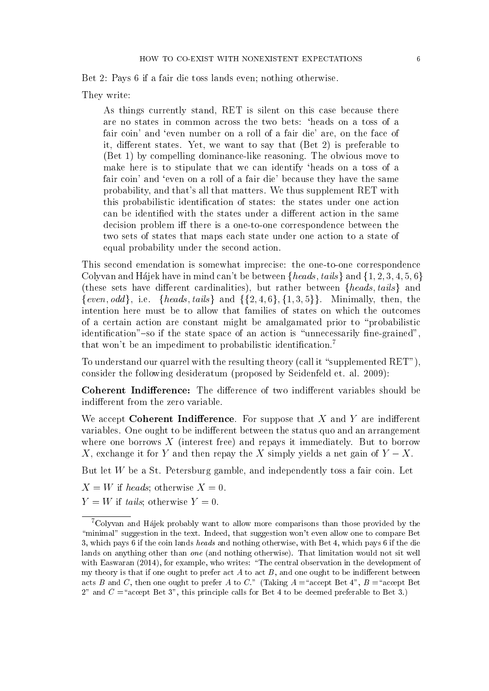Bet 2: Pays 6 if a fair die toss lands even; nothing otherwise.

They write:

As things currently stand, RET is silent on this case because there are no states in common across the two bets: `heads on a toss of a fair coin' and 'even number on a roll of a fair die' are, on the face of it, different states. Yet, we want to say that  $(Set 2)$  is preferable to (Bet 1) by compelling dominance-like reasoning. The obvious move to make here is to stipulate that we can identify 'heads on a toss of a fair coin' and 'even on a roll of a fair die' because they have the same probability, and that's all that matters. We thus supplement RET with this probabilistic identification of states: the states under one action can be identified with the states under a different action in the same decision problem iff there is a one-to-one correspondence between the two sets of states that maps each state under one action to a state of equal probability under the second action.

This second emendation is somewhat imprecise: the one-to-one correspondence Colyvan and Hajek have in mind can't be between  ${heads, tails}$  and  ${1, 2, 3, 4, 5, 6}$ (these sets have different cardinalities), but rather between  ${heads, tails}$  and {even, odd}, i.e. {heads, tails} and  $\{\{2, 4, 6\}, \{1, 3, 5\}\}\.$  Minimally, then, then intention here must be to allow that families of states on which the outcomes of a certain action are constant might be amalgamated prior to \probabilistic identification"-so if the state space of an action is "unnecessarily fine-grained", that won't be an impediment to probabilistic identification.<sup>7</sup>

To understand our quarrel with the resulting theory (call it "supplemented  $\text{RET}$ "), consider the following desideratum (proposed by Seidenfeld et. al. 2009):

Coherent Indifference: The difference of two indifferent variables should be indifferent from the zero variable.

We accept Coherent Indifference. For suppose that  $X$  and  $Y$  are indifferent variables. One ought to be indifferent between the status quo and an arrangement where one borrows  $X$  (interest free) and repays it immediately. But to borrow X, exchange it for Y and then repay the X simply yields a net gain of  $Y - X$ .

But let  $W$  be a St. Petersburg gamble, and independently toss a fair coin. Let

 $X = W$  if heads; otherwise  $X = 0$ .

 $Y = W$  if tails; otherwise  $Y = 0$ .

<sup>7</sup>Colyvan and Hajek probably want to allow more comparisons than those provided by the "minimal" suggestion in the text. Indeed, that suggestion won't even allow one to compare Bet 3, which pays 6 if the coin lands heads and nothing otherwise, with Bet 4, which pays 6 if the die lands on anything other than *one* (and nothing otherwise). That limitation would not sit well with Easwaran  $(2014)$ , for example, who writes: "The central observation in the development of my theory is that if one ought to prefer act  $A$  to act  $B$ , and one ought to be indifferent between acts B and C, then one ought to prefer A to C." (Taking  $A = \text{``accept Bet 4''}, B = \text{``accept Bet}$ 2" and  $C =$ "accept Bet 3", this principle calls for Bet 4 to be deemed preferable to Bet 3.)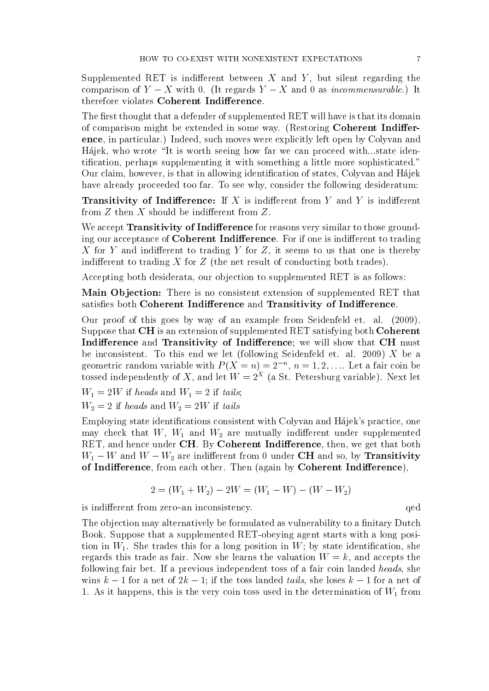Supplemented RET is indifferent between  $X$  and  $Y$ , but silent regarding the comparison of  $Y - X$  with 0. (It regards  $Y - X$  and 0 as *incommensurable*.) It therefore violates Coherent Indifference.

The first thought that a defender of supplemented RET will have is that its domain of comparison might be extended in some way. (Restoring **Coherent Indiffer**ence, in particular.) Indeed, such moves were explicitly left open by Colyvan and Hajek, who wrote "It is worth seeing how far we can proceed with...state identification, perhaps supplementing it with something a little more sophisticated." Our claim, however, is that in allowing identication of states, Colyvan and Hajek have already proceeded too far. To see why, consider the following desideratum:

**Transitivity of Indifference:** If X is indifferent from Y and Y is indifferent from  $Z$  then  $X$  should be indifferent from  $Z$ .

We accept **Transitivity of Indifference** for reasons very similar to those grounding our acceptance of **Coherent Indifference**. For if one is indifferent to trading X for Y and indifferent to trading Y for Z, it seems to us that one is thereby indifferent to trading  $X$  for  $Z$  (the net result of conducting both trades).

Accepting both desiderata, our objection to supplemented RET is as follows:

Main Objection: There is no consistent extension of supplemented RET that satisfies both Coherent Indifference and Transitivity of Indifference.

Our proof of this goes by way of an example from Seidenfeld et. al. (2009). Suppose that CH is an extension of supplemented RET satisfying both Coherent Indifference and Transitivity of Indifference; we will show that CH must be inconsistent. To this end we let (following Seidenfeld et. al. 2009)  $X$  be a geometric random variable with  $P(X = n) = 2^{-n}, n = 1, 2, \dots$  Let a fair coin be tossed independently of X, and let  $W = 2^{X}$  (a St. Petersburg variable). Next let

 $W_1 = 2W$  if heads and  $W_1 = 2$  if tails;

$$
W_2 = 2
$$
 if *heads* and 
$$
W_2 = 2W
$$
 if *tails*

Employing state identications consistent with Colyvan and Hajek's practice, one may check that  $W$ ,  $W_1$  and  $W_2$  are mutually indifferent under supplemented RET, and hence under CH. By Coherent Indifference, then, we get that both  $W_1 - W$  and  $W - W_2$  are indifferent from 0 under CH and so, by Transitivity of Indifference, from each other. Then (again by Coherent Indifference),

$$
2 = (W_1 + W_2) - 2W = (W_1 - W) - (W - W_2)
$$

is indifferent from zero-an inconsistency.  $q$ ed

The objection may alternatively be formulated as vulnerability to a finitary Dutch Book. Suppose that a supplemented RET-obeying agent starts with a long position in  $W_1$ . She trades this for a long position in W; by state identification, she regards this trade as fair. Now she learns the valuation  $W = k$ , and accepts the following fair bet. If a previous independent toss of a fair coin landed heads, she wins  $k-1$  for a net of  $2k-1$ ; if the toss landed tails, she loses  $k-1$  for a net of 1. As it happens, this is the very coin toss used in the determination of  $W_1$  from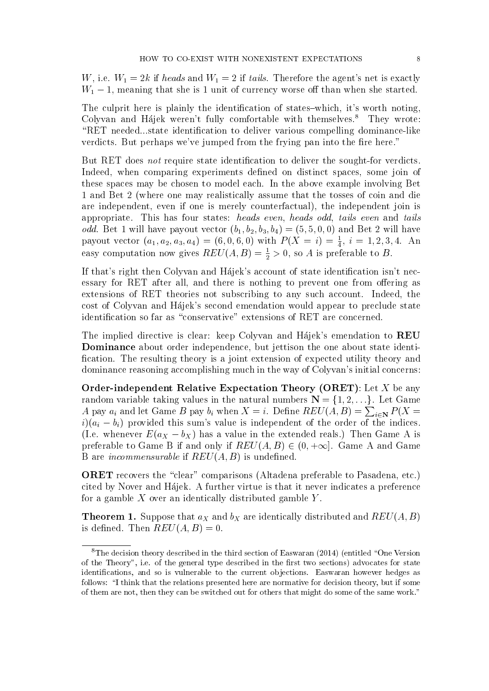W, i.e.  $W_1 = 2k$  if heads and  $W_1 = 2$  if tails. Therefore the agent's net is exactly  $W_1 - 1$ , meaning that she is 1 unit of currency worse off than when she started.

The culprit here is plainly the identification of states-which, it's worth noting, Colyvan and Hájek weren't fully comfortable with themselves.<sup>8</sup> They wrote: "RET needed...state identification to deliver various compelling dominance-like verdicts. But perhaps we've jumped from the frying pan into the fire here."

But RET does *not* require state identification to deliver the sought-for verdicts. Indeed, when comparing experiments defined on distinct spaces, some join of these spaces may be chosen to model each. In the above example involving Bet 1 and Bet 2 (where one may realistically assume that the tosses of coin and die are independent, even if one is merely counterfactual), the independent join is appropriate. This has four states: heads even, heads odd, tails even and tails *odd.* Bet 1 will have payout vector  $(b_1, b_2, b_3, b_4) = (5, 5, 0, 0)$  and Bet 2 will have payout vector  $(a_1, a_2, a_3, a_4) = (6, 0, 6, 0)$  with  $P(X = i) = \frac{1}{4}$ ,  $i = 1, 2, 3, 4$ . An easy computation now gives  $REV(A, B) = \frac{1}{2} > 0$ , so A is preferable to B.

If that's right then Colyvan and Hajek's account of state identification isn't necessary for RET after all, and there is nothing to prevent one from offering as extensions of RET theories not subscribing to any such account. Indeed, the cost of Colyvan and Hajek's second emendation would appear to preclude state identification so far as "conservative" extensions of RET are concerned.

The implied directive is clear: keep Colyvan and Hajek's emendation to REU Dominance about order independence, but jettison the one about state identi fication. The resulting theory is a joint extension of expected utility theory and dominance reasoning accomplishing much in the way of Colyvan's initial concerns:

**Order-independent Relative Expectation Theory (ORET)**: Let X be any random variable taking values in the natural numbers  $N = \{1, 2, ...\}$ . Let Game A pay  $a_i$  and let Game B pay  $b_i$  when  $X = i$ . Define  $REV(A, B) = \sum_{i \in \mathbf{N}} P(X =$  $i(a_i - b_i)$  provided this sum's value is independent of the order of the indices. (I.e. whenever  $E(a_X - b_X)$  has a value in the extended reals.) Then Game A is preferable to Game B if and only if  $REV(A, B) \in (0, +\infty]$ . Game A and Game B are *incommensurable* if  $REV(A, B)$  is undefined.

ORET recovers the "clear" comparisons (Altadena preferable to Pasadena, etc.) cited by Nover and Hajek. A further virtue is that it never indicates a preference for a gamble  $X$  over an identically distributed gamble  $Y$ .

**Theorem 1.** Suppose that  $a_X$  and  $b_X$  are identically distributed and  $REV(A, B)$ is defined. Then  $REV(A, B) = 0$ .

<sup>&</sup>lt;sup>8</sup>The decision theory described in the third section of Easwaran (2014) (entitled "One Version of the Theory", i.e. of the general type described in the first two sections) advocates for state identications, and so is vulnerable to the current objections. Easwaran however hedges as follows: "I think that the relations presented here are normative for decision theory, but if some of them are not, then they can be switched out for others that might do some of the same work."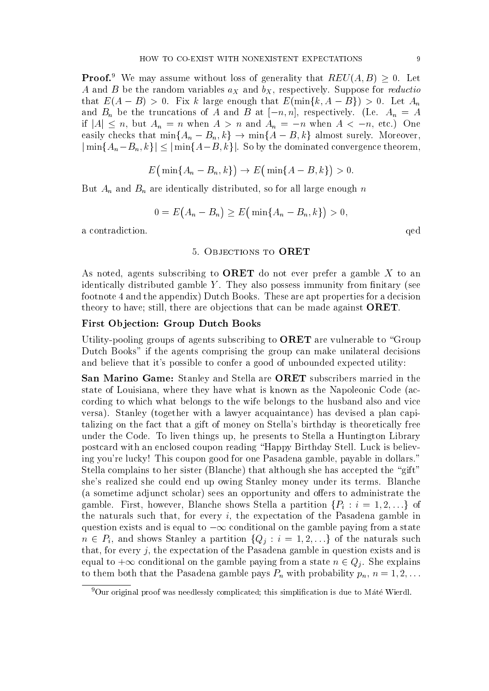**Proof.**<sup>9</sup> We may assume without loss of generality that  $REV(A, B) \geq 0$ . Let A and B be the random variables  $a_X$  and  $b_X$ , respectively. Suppose for *reductio* that  $E(A - B) > 0$ . Fix k large enough that  $E(\min\{k, A - B\}) > 0$ . Let  $A_n$ and  $B_n$  be the truncations of A and B at  $[-n, n]$ , respectively. (I.e.  $A_n = A$ if  $|A| \leq n$ , but  $A_n = n$  when  $A > n$  and  $A_n = -n$  when  $A < -n$ , etc.) One easily checks that  $\min\{A_n - B_n, k\} \to \min\{A - B, k\}$  almost surely. Moreover,  $|\min\{A_n-B_n, k\}| \leq |\min\{A-B, k\}|$ . So by the dominated convergence theorem,

$$
E\big(\min\{A_n-B_n,k\}\big)\to E\big(\min\{A-B,k\}\big)>0.
$$

But  $A_n$  and  $B_n$  are identically distributed, so for all large enough n

$$
0 = E(A_n - B_n) \ge E(\min\{A_n - B_n, k\}) > 0,
$$

a contradiction.  $\qquad \qquad$  qed

## 5. Objections to ORET

As noted, agents subscribing to **ORET** do not ever prefer a gamble X to an identically distributed gamble  $Y$ . They also possess immunity from finitary (see footnote 4 and the appendix) Dutch Books. These are apt properties for a decision theory to have; still, there are objections that can be made against ORET.

### First Objection: Group Dutch Books

Utility-pooling groups of agents subscribing to  $\Omega$ RET are vulnerable to "Group" Dutch Books" if the agents comprising the group can make unilateral decisions and believe that it's possible to confer a good of unbounded expected utility:

San Marino Game: Stanley and Stella are ORET subscribers married in the state of Louisiana, where they have what is known as the Napoleonic Code (according to which what belongs to the wife belongs to the husband also and vice versa). Stanley (together with a lawyer acquaintance) has devised a plan capitalizing on the fact that a gift of money on Stella's birthday is theoretically free under the Code. To liven things up, he presents to Stella a Huntington Library postcard with an enclosed coupon reading \Happy Birthday Stell. Luck is believing you're lucky! This coupon good for one Pasadena gamble, payable in dollars." Stella complains to her sister (Blanche) that although she has accepted the "gift" she's realized she could end up owing Stanley money under its terms. Blanche (a sometime adjunct scholar) sees an opportunity and offers to administrate the gamble. First, however, Blanche shows Stella a partition  $\{P_i : i = 1, 2, \ldots\}$  of the naturals such that, for every  $i$ , the expectation of the Pasadena gamble in question exists and is equal to  $-\infty$  conditional on the gamble paying from a state  $n \in P_i$ , and shows Stanley a partition  $\{Q_j : i = 1, 2, \ldots\}$  of the naturals such that, for every  $j$ , the expectation of the Pasadena gamble in question exists and is equal to  $+\infty$  conditional on the gamble paying from a state  $n \in Q_j$ . She explains to them both that the Pasadena gamble pays  $P_n$  with probability  $p_n$ ,  $n = 1, 2, \ldots$ 

 $^{9}$ Our original proof was needlessly complicated; this simplification is due to Máté Wierdl.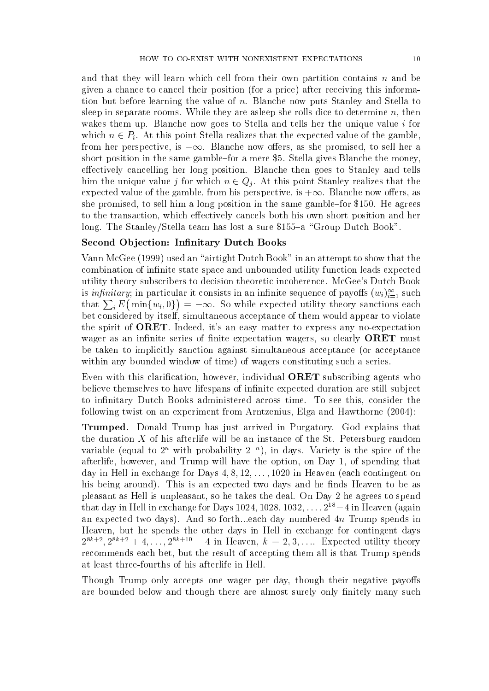and that they will learn which cell from their own partition contains n and be given a chance to cancel their position (for a price) after receiving this information but before learning the value of n. Blanche now puts Stanley and Stella to sleep in separate rooms. While they are asleep she rolls dice to determine  $n$ , then wakes them up. Blanche now goes to Stella and tells her the unique value  $i$  for which  $n \in P_i$ . At this point Stella realizes that the expected value of the gamble, from her perspective, is  $-\infty$ . Blanche now offers, as she promised, to sell her a short position in the same gamble-for a mere \$5. Stella gives Blanche the money, effectively cancelling her long position. Blanche then goes to Stanley and tells him the unique value j for which  $n \in Q_j$ . At this point Stanley realizes that the expected value of the gamble, from his perspective, is  $+\infty$ . Blanche now offers, as she promised, to sell him a long position in the same gamble-for \$150. He agrees to the transaction, which effectively cancels both his own short position and her long. The Stanley/Stella team has lost a sure  $$155-a$  "Group Dutch Book".

## Second Objection: Infinitary Dutch Books

Vann McGee (1999) used an "airtight Dutch Book" in an attempt to show that the combination of infinite state space and unbounded utility function leads expected utility theory subscribers to decision theoretic incoherence. McGee's Dutch Book is *infinitary*; in particular it consists in an infinite sequence of payoffs  $(w_i)_{i=1}^{\infty}$  such that  $\sum_i E(\min\{w_i, 0\}) = -\infty$ . So while expected utility theory sanctions each bet considered by itself, simultaneous acceptance of them would appear to violate the spirit of ORET. Indeed, it's an easy matter to express any no-expectation wager as an infinite series of finite expectation wagers, so clearly **ORET** must be taken to implicitly sanction against simultaneous acceptance (or acceptance within any bounded window of time) of wagers constituting such a series.

Even with this clarification, however, individual **ORET**-subscribing agents who believe themselves to have lifespans of infinite expected duration are still subject to infinitary Dutch Books administered across time. To see this, consider the following twist on an experiment from Arntzenius, Elga and Hawthorne (2004):

Trumped. Donald Trump has just arrived in Purgatory. God explains that the duration  $X$  of his afterlife will be an instance of the St. Petersburg random variable (equal to  $2^n$  with probability  $2^{-n}$ ), in days. Variety is the spice of the afterlife, however, and Trump will have the option, on Day 1, of spending that day in Hell in exchange for Days  $4, 8, 12, \ldots, 1020$  in Heaven (each contingent on his being around). This is an expected two days and he finds Heaven to be as pleasant as Hell is unpleasant, so he takes the deal. On Day 2 he agrees to spend that day in Hell in exchange for Days 1024, 1028,  $1032, \ldots, 2^{18} - 4$  in Heaven (again an expected two days). And so forth...each day numbered 4n Trump spends in Heaven, but he spends the other days in Hell in exchange for contingent days  $2^{8k+2}$ ,  $2^{8k+2} + 4, \ldots, 2^{8k+10} - 4$  in Heaven,  $k = 2, 3, \ldots$  Expected utility theory recommends each bet, but the result of accepting them all is that Trump spends at least three-fourths of his afterlife in Hell.

Though Trump only accepts one wager per day, though their negative payoffs are bounded below and though there are almost surely only finitely many such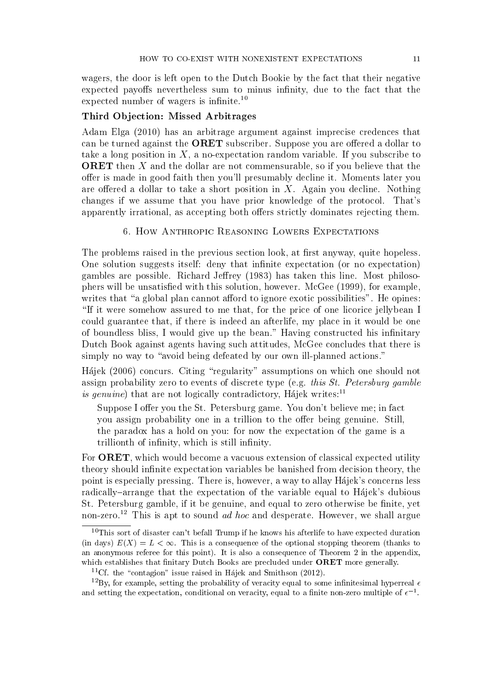wagers, the door is left open to the Dutch Bookie by the fact that their negative expected payoffs nevertheless sum to minus infinity, due to the fact that the expected number of wagers is infinite.<sup>10</sup>

## Third Objection: Missed Arbitrages

Adam Elga (2010) has an arbitrage argument against imprecise credences that can be turned against the ORET subscriber. Suppose you are offered a dollar to take a long position in  $X$ , a no-expectation random variable. If you subscribe to ORET then X and the dollar are not commensurable, so if you believe that the offer is made in good faith then you'll presumably decline it. Moments later you are offered a dollar to take a short position in  $X$ . Again you decline. Nothing changes if we assume that you have prior knowledge of the protocol. That's apparently irrational, as accepting both offers strictly dominates rejecting them.

6. How Anthropic Reasoning Lowers Expectations

The problems raised in the previous section look, at first anyway, quite hopeless. One solution suggests itself: deny that infinite expectation (or no expectation) gambles are possible. Richard Jeffrey (1983) has taken this line. Most philosophers will be unsatised with this solution, however. McGee (1999), for example, writes that "a global plan cannot afford to ignore exotic possibilities". He opines: "If it were somehow assured to me that, for the price of one licorice jellybean I could guarantee that, if there is indeed an afterlife, my place in it would be one of boundless bliss, I would give up the bean." Having constructed his infinitary Dutch Book against agents having such attitudes, McGee concludes that there is simply no way to "avoid being defeated by our own ill-planned actions."

Hájek (2006) concurs. Citing "regularity" assumptions on which one should not assign probability zero to events of discrete type (e.g. this St. Petersburg gamble is genuine) that are not logically contradictory, Hájek writes: $^{11}$ 

Suppose I offer you the St. Petersburg game. You don't believe me; in fact you assign probability one in a trillion to the offer being genuine. Still, the paradox has a hold on you: for now the expectation of the game is a trillionth of infinity, which is still infinity.

For **ORET**, which would become a vacuous extension of classical expected utility theory should infinite expectation variables be banished from decision theory, the point is especially pressing. There is, however, a way to allay Hajek's concerns less radically–arrange that the expectation of the variable equal to Hajek's dubious St. Petersburg gamble, if it be genuine, and equal to zero otherwise be finite, yet non-zero.<sup>12</sup> This is apt to sound *ad hoc* and desperate. However, we shall argue

 $10$ This sort of disaster can't befall Trump if he knows his afterlife to have expected duration (in days)  $E(X) = L < \infty$ . This is a consequence of the optional stopping theorem (thanks to an anonymous referee for this point). It is also a consequence of Theorem 2 in the appendix, which establishes that finitary Dutch Books are precluded under  $\Omega$ RET more generally.

<sup>&</sup>lt;sup>11</sup>Cf. the "contagion" issue raised in Hajek and Smithson (2012).

<sup>&</sup>lt;sup>12</sup>By, for example, setting the probability of veracity equal to some infinitesimal hyperreal  $\epsilon$ and setting the expectation, conditional on veracity, equal to a finite non-zero multiple of  $\epsilon^{-1}$ .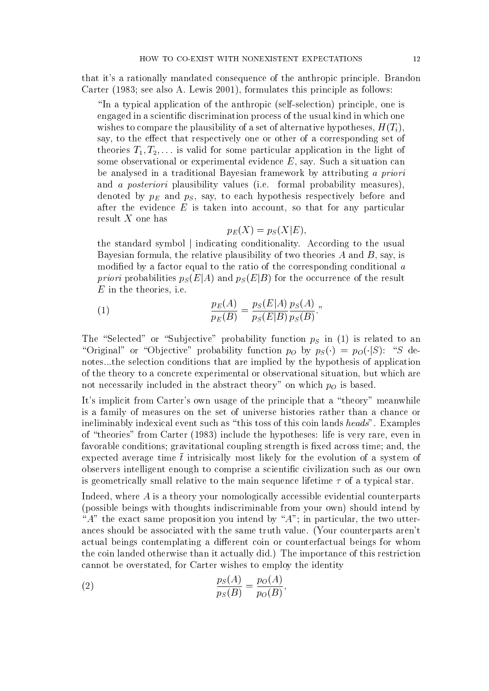that it's a rationally mandated consequence of the anthropic principle. Brandon Carter (1983; see also A. Lewis 2001), formulates this principle as follows:

\In a typical application of the anthropic (self-selection) principle, one is engaged in a scientic discrimination process of the usual kind in which one wishes to compare the plausibility of a set of alternative hypotheses,  $H(T_i)$ , say, to the effect that respectively one or other of a corresponding set of theories  $T_1, T_2, \ldots$  is valid for some particular application in the light of some observational or experimental evidence E, say. Such a situation can be analysed in a traditional Bayesian framework by attributing a priori and a posteriori plausibility values (i.e. formal probability measures), denoted by  $p_E$  and  $p_S$ , say, to each hypothesis respectively before and after the evidence  $E$  is taken into account, so that for any particular result X one has

$$
p_E(X) = p_S(X|E),
$$

the standard symbol j indicating conditionality. According to the usual Bayesian formula, the relative plausibility of two theories  $A$  and  $B$ , say, is modified by a factor equal to the ratio of the corresponding conditional  $\alpha$ *priori* probabilities  $p_S(E|A)$  and  $p_S(E|B)$  for the occurrence of the result  $E$  in the theories, i.e.

(1) 
$$
\frac{p_E(A)}{p_E(B)} = \frac{p_S(E|A)}{p_S(E|B)} \frac{p_S(A)}{p_S(B)}.
$$

The "Selected" or "Subjective" probability function  $p<sub>S</sub>$  in (1) is related to an "Original" or "Objective" probability function p<sub>O</sub> by  $p_S(\cdot) = p_O(\cdot|S)$ : "S denotes...the selection conditions that are implied by the hypothesis of application of the theory to a concrete experimental or observational situation, but which are not necessarily included in the abstract theory" on which  $p<sub>O</sub>$  is based.

It's implicit from Carter's own usage of the principle that a "theory" meanwhile is a family of measures on the set of universe histories rather than a chance or ineliminably indexical event such as "this toss of this coin lands heads". Examples of "theories" from Carter (1983) include the hypotheses: life is very rare, even in favorable conditions; gravitational coupling strength is fixed across time; and, the expected average time  $\bar{t}$  intrisically most likely for the evolution of a system of observers intelligent enough to comprise a scientific civilization such as our own is geometrically small relative to the main sequence lifetime  $\tau$  of a typical star.

Indeed, where A is a theory your nomologically accessible evidential counterparts (possible beings with thoughts indiscriminable from your own) should intend by " $A$ " the exact same proposition you intend by " $A$ "; in particular, the two utterances should be associated with the same truth value. (Your counterparts aren't actual beings contemplating a different coin or counterfactual beings for whom the coin landed otherwise than it actually did.) The importance of this restriction cannot be overstated, for Carter wishes to employ the identity

(2) 
$$
\frac{p_S(A)}{p_S(B)} = \frac{p_O(A)}{p_O(B)},
$$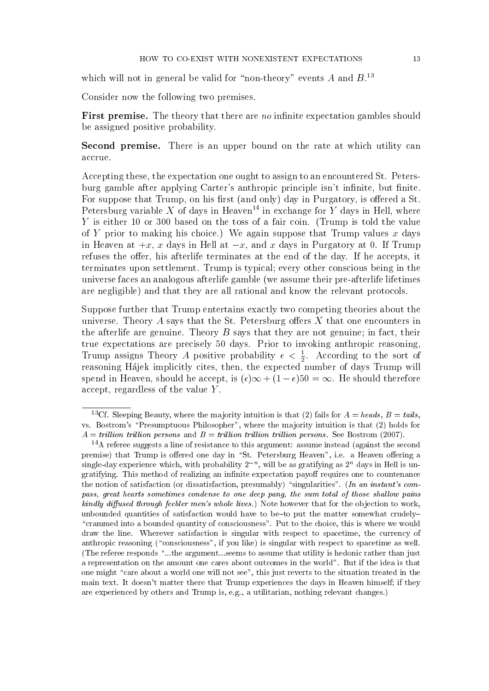which will not in general be valid for "non-theory" events  $A$  and  $B$ <sup>13</sup>

Consider now the following two premises.

**First premise.** The theory that there are no infinite expectation gambles should be assigned positive probability.

Second premise. There is an upper bound on the rate at which utility can accrue.

Accepting these, the expectation one ought to assign to an encountered St. Petersburg gamble after applying Carter's anthropic principle isn't infinite, but finite. For suppose that Trump, on his first (and only) day in Purgatory, is offered a St. Petersburg variable X of days in Heaven<sup>14</sup> in exchange for Y days in Hell, where Y is either 10 or 300 based on the toss of a fair coin. (Trump is told the value of Y prior to making his choice.) We again suppose that Trump values x days in Heaven at  $+x$ , x days in Hell at  $-x$ , and x days in Purgatory at 0. If Trump refuses the offer, his afterlife terminates at the end of the day. If he accepts, it terminates upon settlement. Trump is typical; every other conscious being in the universe faces an analogous afterlife gamble (we assume their pre-afterlife lifetimes are negligible) and that they are all rational and know the relevant protocols.

Suppose further that Trump entertains exactly two competing theories about the universe. Theory A says that the St. Petersburg offers  $X$  that one encounters in the afterlife are genuine. Theory  $B$  says that they are not genuine; in fact, their true expectations are precisely 50 days. Prior to invoking anthropic reasoning, Trump assigns Theory A positive probability  $\epsilon < \frac{1}{2}$ . According to the sort of reasoning Hajek implicitly cites, then, the expected number of days Trump will spend in Heaven, should he accept, is  $(\epsilon)\infty + (1 - \epsilon)50 = \infty$ . He should therefore accept, regardless of the value Y .

<sup>&</sup>lt;sup>13</sup>Cf. Sleeping Beauty, where the majority intuition is that (2) fails for  $A = heads, B = tails$ , vs. Bostrom's \Presumptuous Philosopher", where the majority intuition is that (2) holds for  $A = trillion$  trillion persons and  $B = trillion$  trillion trillion persons. See Bostrom (2007).

 $14A$  referee suggests a line of resistance to this argument: assume instead (against the second premise) that Trump is offered one day in "St. Petersburg Heaven", i.e. a Heaven offering a single-day experience which, with probability  $2^{-n}$ , will be as gratifying as  $2^{n}$  days in Hell is ungratifying. This method of realizing an infinite expectation payoff requires one to countenance the notion of satisfaction (or dissatisfaction, presumably) "singularities". (In an instant's compass, great hearts sometimes condense to one deep pang, the sum total of those shallow pains  $kindly$  diffused through feebler men's whole lives.) Note however that for the objection to work, unbounded quantities of satisfaction would have to be to put the matter somewhat crudely-"crammed into a bounded quantity of consciousness". Put to the choice, this is where we would draw the line. Wherever satisfaction is singular with respect to spacetime, the currency of anthropic reasoning ("consciousness", if you like) is singular with respect to spacetime as well. (The referee responds "...the argument...seems to assume that utility is hedonic rather than just a representation on the amount one cares about outcomes in the world". But if the idea is that one might "care about a world one will not see", this just reverts to the situation treated in the main text. It doesn't matter there that Trump experiences the days in Heaven himself; if they are experienced by others and Trump is, e.g., a utilitarian, nothing relevant changes.)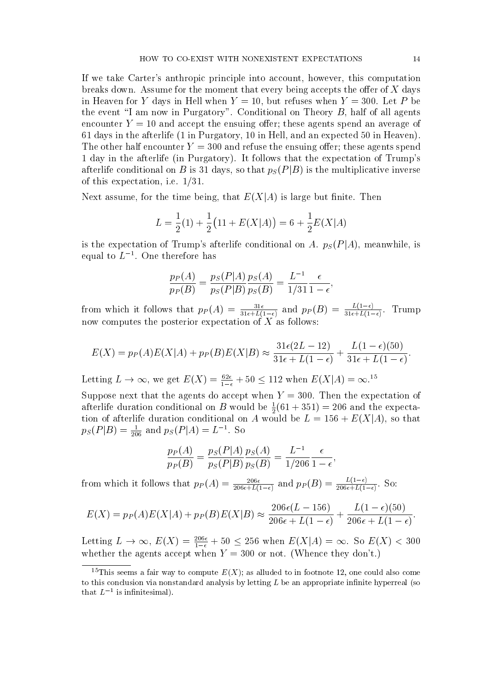If we take Carter's anthropic principle into account, however, this computation breaks down. Assume for the moment that every being accepts the offer of  $X$  days in Heaven for Y days in Hell when  $Y = 10$ , but refuses when  $Y = 300$ . Let P be the event "I am now in Purgatory". Conditional on Theory  $B$ , half of all agents encounter  $Y = 10$  and accept the ensuing offer; these agents spend an average of 61 days in the afterlife (1 in Purgatory, 10 in Hell, and an expected 50 in Heaven). The other half encounter  $Y = 300$  and refuse the ensuing offer; these agents spend 1 day in the afterlife (in Purgatory). It follows that the expectation of Trump's afterlife conditional on B is 31 days, so that  $p_S(P|B)$  is the multiplicative inverse of this expectation, i.e.  $1/31$ .

Next assume, for the time being, that  $E(X|A)$  is large but finite. Then

$$
L = \frac{1}{2}(1) + \frac{1}{2}(11 + E(X|A)) = 6 + \frac{1}{2}E(X|A)
$$

is the expectation of Trump's afterlife conditional on A.  $p_S(P|A)$ , meanwhile, is equal to  $L^{-1}$ . One therefore has

$$
\frac{p_P(A)}{p_P(B)} = \frac{p_S(P|A)}{p_S(P|B)} \frac{p_S(A)}{p_S(B)} = \frac{L^{-1}}{1/31} \frac{\epsilon}{1-\epsilon}
$$

;

;

from which it follows that  $p_P(A) = \frac{31\epsilon}{31\epsilon + L(1-\epsilon)}$  and  $p_P(B) = \frac{L(1-\epsilon)}{31\epsilon + L(1-\epsilon)}$ . Trump now computes the posterior expectation of  $X$  as follows:

$$
E(X) = p_P(A)E(X|A) + p_P(B)E(X|B) \approx \frac{31\epsilon(2L-12)}{31\epsilon + L(1-\epsilon)} + \frac{L(1-\epsilon)(50)}{31\epsilon + L(1-\epsilon)}.
$$

Letting  $L \to \infty$ , we get  $E(X) = \frac{62\epsilon}{1-\epsilon} + 50 \le 112$  when  $E(X|A) = \infty$ .<sup>15</sup>

Suppose next that the agents do accept when  $Y = 300$ . Then the expectation of afterlife duration conditional on B would be  $\frac{1}{2}(61 + 351) = 206$  and the expectation of afterlife duration conditional on A would be  $L = 156 + E(X|A)$ , so that  $p_S(P|B) = \frac{1}{206}$  and  $p_S(P|A) = L^{-1}$ . So

$$
\frac{p_P(A)}{p_P(B)} = \frac{p_S(P|A)}{p_S(P|B)} \frac{p_S(A)}{p_S(B)} = \frac{L^{-1}}{1/206} \frac{\epsilon}{1 - \epsilon}
$$

from which it follows that  $p_P(A) = \frac{206\epsilon}{206\epsilon + L(1-\epsilon)}$  and  $p_P(B) = \frac{L(1-\epsilon)}{206\epsilon + L(1-\epsilon)}$ . So:

$$
E(X) = p_P(A)E(X|A) + p_P(B)E(X|B) \approx \frac{206\epsilon(L - 156)}{206\epsilon + L(1 - \epsilon)} + \frac{L(1 - \epsilon)(50)}{206\epsilon + L(1 - \epsilon)}.
$$

Letting  $L \to \infty$ ,  $E(X) = \frac{206\epsilon}{1-\epsilon} + 50 \le 256$  when  $E(X|A) = \infty$ . So  $E(X) < 300$ whether the agents accept when  $Y = 300$  or not. (Whence they don't.)

<sup>&</sup>lt;sup>15</sup>This seems a fair way to compute  $E(X)$ ; as alluded to in footnote 12, one could also come to this conclusion via nonstandard analysis by letting  $L$  be an appropriate infinite hyperreal (so that  $L^{-1}$  is infinitesimal).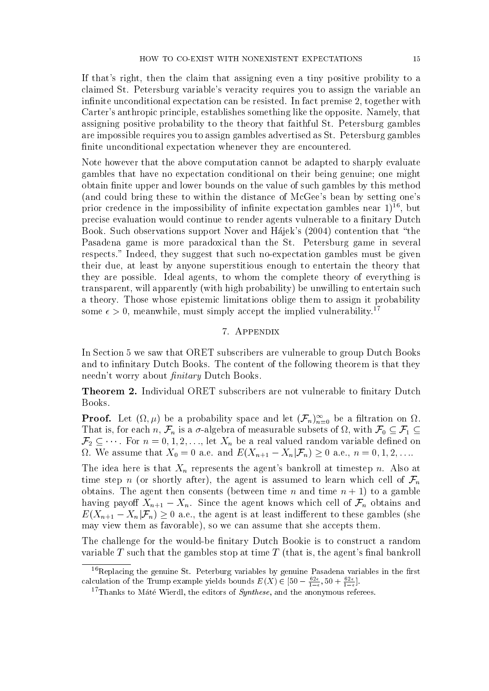If that's right, then the claim that assigning even a tiny positive probility to a claimed St. Petersburg variable's veracity requires you to assign the variable an infinite unconditional expectation can be resisted. In fact premise 2, together with Carter's anthropic principle, establishes something like the opposite. Namely, that assigning positive probability to the theory that faithful St. Petersburg gambles are impossible requires you to assign gambles advertised as St. Petersburg gambles finite unconditional expectation whenever they are encountered.

Note however that the above computation cannot be adapted to sharply evaluate gambles that have no expectation conditional on their being genuine; one might obtain finite upper and lower bounds on the value of such gambles by this method (and could bring these to within the distance of McGee's bean by setting one's prior credence in the impossibility of infinite expectation gambles near  $1$ <sup>16</sup>, but precise evaluation would continue to render agents vulnerable to a finitary Dutch Book. Such observations support Nover and Hajek's (2004) contention that "the Pasadena game is more paradoxical than the St. Petersburg game in several respects." Indeed, they suggest that such no-expectation gambles must be given their due, at least by anyone superstitious enough to entertain the theory that they are possible. Ideal agents, to whom the complete theory of everything is transparent, will apparently (with high probability) be unwilling to entertain such a theory. Those whose epistemic limitations oblige them to assign it probability some  $\epsilon > 0$ , meanwhile, must simply accept the implied vulnerability.<sup>17</sup>

### 7. Appendix

In Section 5 we saw that ORET subscribers are vulnerable to group Dutch Books and to infinitary Dutch Books. The content of the following theorem is that they needn't worry about *finitary* Dutch Books.

**Theorem 2.** Individual ORET subscribers are not vulnerable to finitary Dutch Books.

**Proof.** Let  $(\Omega, \mu)$  be a probability space and let  $(\mathcal{F}_n)_{n=0}^{\infty}$  be a filtration on  $\Omega$ . That is, for each n,  $\mathcal{F}_n$  is a  $\sigma$ -algebra of measurable subsets of  $\Omega$ , with  $\mathcal{F}_0 \subseteq \mathcal{F}_1 \subseteq$  $\mathcal{F}_2 \subseteq \cdots$ . For  $n = 0, 1, 2, \ldots$ , let  $X_n$  be a real valued random variable defined on  $\Omega$ . We assume that  $X_0 = 0$  a.e. and  $E(X_{n+1} - X_n | \mathcal{F}_n) \ge 0$  a.e.,  $n = 0, 1, 2, \ldots$ .

The idea here is that  $X_n$  represents the agent's bankroll at timestep n. Also at time step n (or shortly after), the agent is assumed to learn which cell of  $\mathcal{F}_n$ obtains. The agent then consents (between time n and time  $n + 1$ ) to a gamble having payoff  $X_{n+1} - X_n$ . Since the agent knows which cell of  $\mathcal{F}_n$  obtains and  $E(X_{n+1} - X_n | \mathcal{F}_n) \geq 0$  a.e., the agent is at least indifferent to these gambles (she may view them as favorable), so we can assume that she accepts them.

The challenge for the would-be finitary Dutch Bookie is to construct a random variable  $T$  such that the gambles stop at time  $T$  (that is, the agent's final bankroll

 $16$ Replacing the genuine St. Peterburg variables by genuine Pasadena variables in the first calculation of the Trump example yields bounds  $E(X) \in [50 - \frac{62\epsilon}{1-\epsilon}, 50 + \frac{62\epsilon}{1-\epsilon}]$ .

 $^{17}{\rm Thanks}$  to Máté Wierdl, the editors of  $Synthese,$  and the anonymous referees.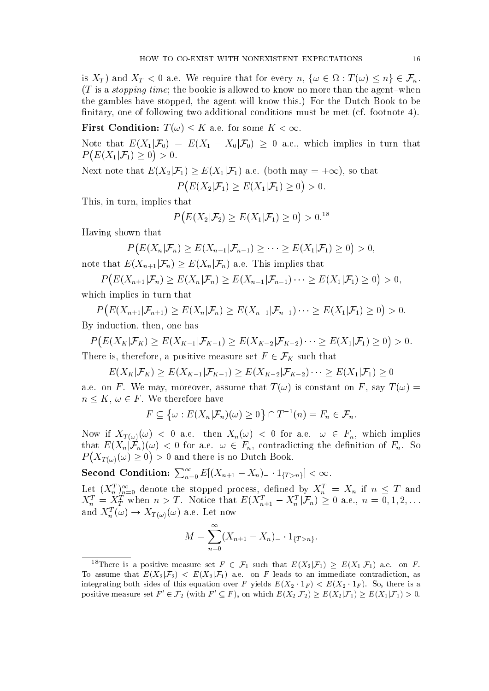is  $X_T$ ) and  $X_T < 0$  a.e. We require that for every  $n, \{\omega \in \Omega : T(\omega) \le n\} \in \mathcal{F}_n$ .  $(T$  is a *stopping time*; the bookie is allowed to know no more than the agent-when the gambles have stopped, the agent will know this.) For the Dutch Book to be finitary, one of following two additional conditions must be met (cf. footnote 4).

First Condition:  $T(\omega) \leq K$  a.e. for some  $K < \infty$ .

Note that  $E(X_1|\mathcal{F}_0) = E(X_1 - X_0|\mathcal{F}_0) \geq 0$  a.e., which implies in turn that  $P(E(X_1|\mathcal{F}_1)\geq 0)>0.$ 

Next note that  $E(X_2|\mathcal{F}_1) \geq E(X_1|\mathcal{F}_1)$  a.e. (both may  $= +\infty$ ), so that

 $P(E(X_2|\mathcal{F}_1) \ge E(X_1|\mathcal{F}_1) \ge 0) > 0.$ 

This, in turn, implies that

$$
P(E(X_2|\mathcal{F}_2) \ge E(X_1|\mathcal{F}_1) \ge 0) > 0.^{18}
$$

Having shown that

$$
P(E(X_n|\mathcal{F}_n) \ge E(X_{n-1}|\mathcal{F}_{n-1}) \ge \cdots \ge E(X_1|\mathcal{F}_1) \ge 0) > 0,
$$
  

$$
E(X_n|\mathcal{F}_n) \ge E(X|\mathcal{F}_n) \quad \text{and} \quad E(X_n|\mathcal{F}_n) \ge E(X_n|\mathcal{F}_n) \ge 0,
$$

note that  $E(X_{n+1}|\mathcal{F}_n) \geq E(X_n|\mathcal{F}_n)$  a.e. This implies that

 $P(E(X_{n+1}|\mathcal{F}_n) \ge E(X_n|\mathcal{F}_n) \ge E(X_{n-1}|\mathcal{F}_{n-1})\cdots \ge E(X_1|\mathcal{F}_1) \ge 0) > 0,$ which implies in turn that

 $P(E(X_{n+1}|\mathcal{F}_{n+1}) \ge E(X_n|\mathcal{F}_n) \ge E(X_{n-1}|\mathcal{F}_{n-1}) \cdots \ge E(X_1|\mathcal{F}_1) \ge 0) > 0.$ By induction, then, one has

 $P(E(X_K|\mathcal{F}_K) \ge E(X_{K-1}|\mathcal{F}_{K-1}) \ge E(X_{K-2}|\mathcal{F}_{K-2})\cdots \ge E(X_1|\mathcal{F}_1) \ge 0) > 0.$ There is, therefore, a positive measure set  $F \in \mathcal{F}_K$  such that

 $E(X_K|\mathcal{F}_K) \geq E(X_{K-1}|\mathcal{F}_{K-1}) \geq E(X_{K-2}|\mathcal{F}_{K-2}) \cdots \geq E(X_1|\mathcal{F}_1) \geq 0$ 

a.e. on F. We may, moreover, assume that  $T(\omega)$  is constant on F, say  $T(\omega)$  =  $n \leq K, \omega \in F$ . We therefore have

$$
F \subseteq \left\{ \omega : E(X_n | \mathcal{F}_n)(\omega) \ge 0 \right\} \cap T^{-1}(n) = F_n \in \mathcal{F}_n.
$$

Now if  $X_{T(\omega)}(\omega) < 0$  a.e. then  $X_n(\omega) < 0$  for a.e.  $\omega \in F_n$ , which implies that  $E(X_n|\mathcal{F}_n)(\omega) < 0$  for a.e.  $\omega \in F_n$ , contradicting the definition of  $F_n$ . So  $P\big(X_{T(\omega)}(\omega) \geq 0\big) > 0$  and there is no Dutch Book.

Second Condition:  $\sum_{n=0}^{\infty} E[(X_{n+1} - X_n)_- \cdot 1_{\{T > n\}}] < \infty$ .

Let  $(X_n^T)_{n=0}^{\infty}$  denote the stopped process, defined by  $X_n^T = X_n$  if  $n \leq T$  and  $X_n^T = X_T^T$  when  $n > T$ . Notice that  $E(X_{n+1}^T - X_n^T | \mathcal{F}_n) \geq 0$  a.e.,  $n = 0, 1, 2, \ldots$ and  $X_n^T(\omega) \to X_{T(\omega)}(\omega)$  a.e. Let now

$$
M = \sum_{n=0}^{\infty} (X_{n+1} - X_n) - \cdot 1_{\{T > n\}}.
$$

<sup>&</sup>lt;sup>18</sup>There is a positive measure set  $F \in \mathcal{F}_1$  such that  $E(X_2|\mathcal{F}_1) \geq E(X_1|\mathcal{F}_1)$  a.e. on F. To assume that  $E(X_2|\mathcal{F}_2) < E(X_2|\mathcal{F}_1)$  a.e. on F leads to an immediate contradiction, as integrating both sides of this equation over F yields  $E(X_2 \t1_F) < E(X_2 \t1_F)$ . So, there is a positive measure set  $F' \in \mathcal{F}_2$  (with  $F' \subseteq F$ ), on which  $E(X_2|\mathcal{F}_2) \geq E(X_2|\mathcal{F}_1) \geq E(X_1|\mathcal{F}_1) > 0$ .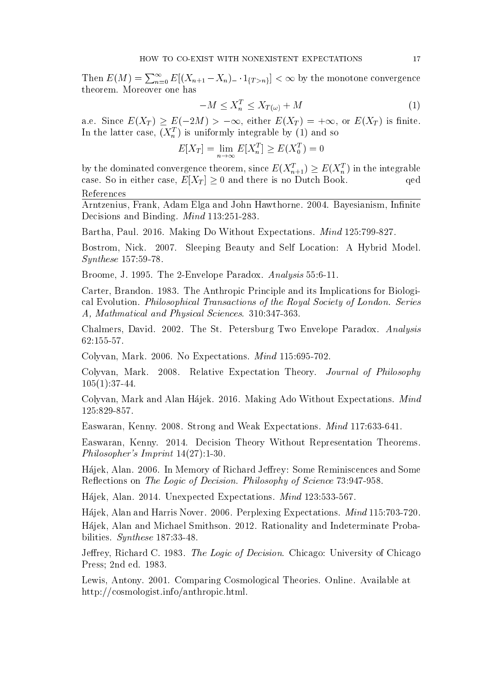Then  $E(M) = \sum_{n=0}^{\infty} E[(X_{n+1} - X_n)_- \cdot 1_{\{T > n\}}] < \infty$  by the monotone convergence theorem. Moreover one has

$$
-M \le X_n^T \le X_{T(\omega)} + M \tag{1}
$$

a.e. Since  $E(X_T) \ge E(-2M) > -\infty$ , either  $E(X_T) = +\infty$ , or  $E(X_T)$  is finite. In the latter case,  $(X_n^T)$  is uniformly integrable by (1) and so

$$
E[X_T] = \lim_{n \to \infty} E[X_n^T] \ge E(X_0^T) = 0
$$

by the dominated convergence theorem, since  $E(X_{n+1}^T) \ge E(X_n^T)$  in the integrable case. So in either case,  $E[X_T] \geq 0$  and there is no Dutch Book. qed References

Arntzenius, Frank, Adam Elga and John Hawthorne. 2004. Bayesianism, Infinite Decisions and Binding. Mind 113:251-283.

Bartha, Paul. 2016. Making Do Without Expectations. Mind 125:799-827.

Bostrom, Nick. 2007. Sleeping Beauty and Self Location: A Hybrid Model. Synthese 157:59-78.

Broome, J. 1995. The 2-Envelope Paradox. Analysis 55:6-11.

Carter, Brandon. 1983. The Anthropic Principle and its Implications for Biological Evolution. Philosophical Transactions of the Royal Society of London. Series A, Mathmatical and Physical Sciences. 310:347-363.

Chalmers, David. 2002. The St. Petersburg Two Envelope Paradox. Analysis 62:155-57.

Colyvan, Mark. 2006. No Expectations. Mind 115:695-702.

Colyvan, Mark. 2008. Relative Expectation Theory. Journal of Philosophy 105(1):37-44.

Colyvan, Mark and Alan Hajek. 2016. Making Ado Without Expectations. Mind 125:829-857.

Easwaran, Kenny. 2008. Strong and Weak Expectations. Mind 117:633-641.

Easwaran, Kenny. 2014. Decision Theory Without Representation Theorems. Philosopher's Imprint 14(27):1-30.

Hájek, Alan. 2006. In Memory of Richard Jeffrey: Some Reminiscences and Some Reflections on The Logic of Decision. Philosophy of Science 73:947-958.

Hajek, Alan. 2014. Unexpected Expectations. Mind 123:533-567.

Hajek, Alan and Harris Nover. 2006. Perplexing Expectations. Mind 115:703-720. Hajek, Alan and Michael Smithson. 2012. Rationality and Indeterminate Probabilities. Synthese 187:33-48.

Jeffrey, Richard C. 1983. The Logic of Decision. Chicago: University of Chicago Press; 2nd ed. 1983.

Lewis, Antony. 2001. Comparing Cosmological Theories. Online. Available at http://cosmologist.info/anthropic.html.